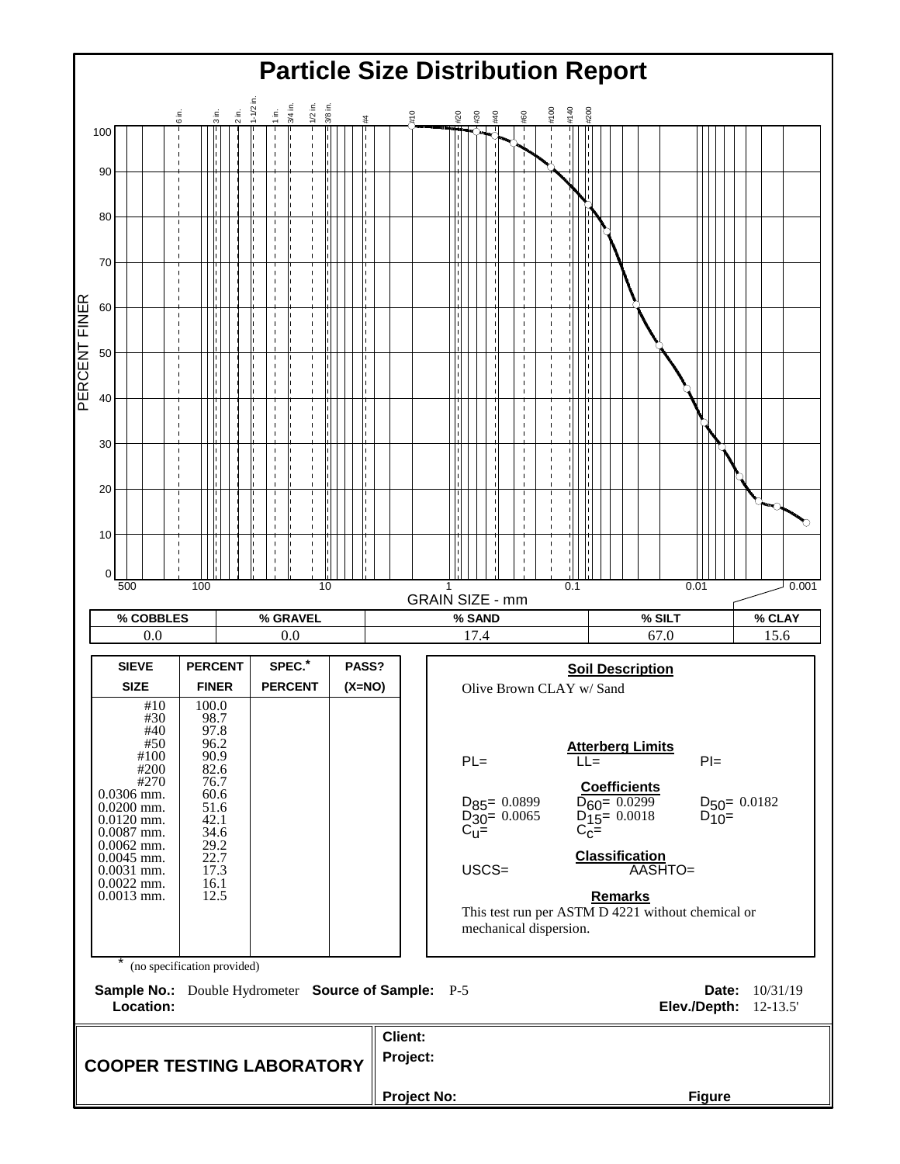